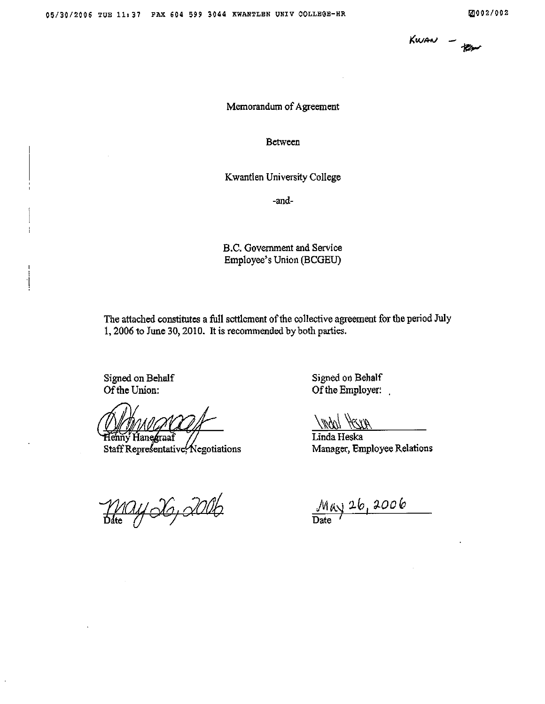

#### Memorandum of Agreement

Between

Kwantlen University College

-and-

B.C. Government and Service Employee's Union (BCGEU)

The attached constitutes a full settlement of the collective agreement for the period July 1, 2006 to June 30, 2010. It is recommended by both parties.

Signed on Behalf Of the Union:

Henny Hanegraaf

Staff Representative Negotiations

May 26, 2006

Signed on Behalf Of the Employer:

Villyn Heart

Linda Heska Manager, Employee Relations

May 26, 2006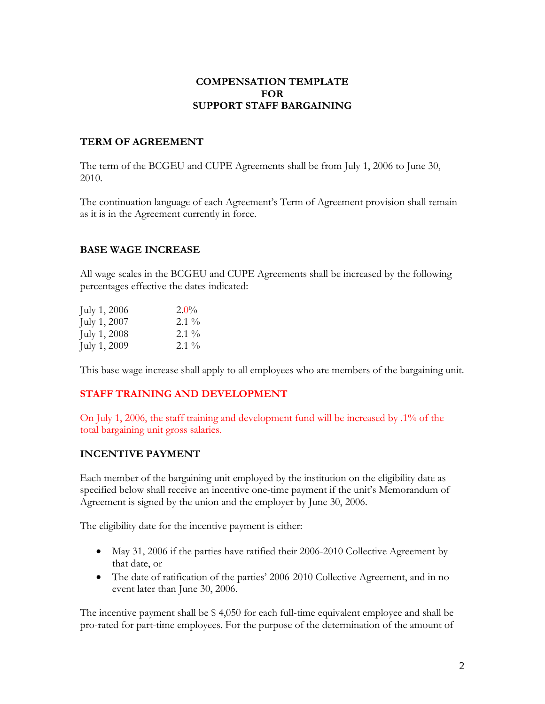## **COMPENSATION TEMPLATE FOR SUPPORT STAFF BARGAINING**

## **TERM OF AGREEMENT**

The term of the BCGEU and CUPE Agreements shall be from July 1, 2006 to June 30, 2010.

The continuation language of each Agreement's Term of Agreement provision shall remain as it is in the Agreement currently in force.

## **BASE WAGE INCREASE**

All wage scales in the BCGEU and CUPE Agreements shall be increased by the following percentages effective the dates indicated:

| July $1, 2006$ | $2.0\%$ |
|----------------|---------|
| July 1, 2007   | $2.1\%$ |
| July $1,2008$  | $2.1\%$ |
| July 1, 2009   | $2.1\%$ |

This base wage increase shall apply to all employees who are members of the bargaining unit.

# **STAFF TRAINING AND DEVELOPMENT**

On July 1, 2006, the staff training and development fund will be increased by .1% of the total bargaining unit gross salaries.

# **INCENTIVE PAYMENT**

Each member of the bargaining unit employed by the institution on the eligibility date as specified below shall receive an incentive one-time payment if the unit's Memorandum of Agreement is signed by the union and the employer by June 30, 2006.

The eligibility date for the incentive payment is either:

- May 31, 2006 if the parties have ratified their 2006-2010 Collective Agreement by that date, or
- The date of ratification of the parties' 2006-2010 Collective Agreement, and in no event later than June 30, 2006.

The incentive payment shall be \$ 4,050 for each full-time equivalent employee and shall be pro-rated for part-time employees. For the purpose of the determination of the amount of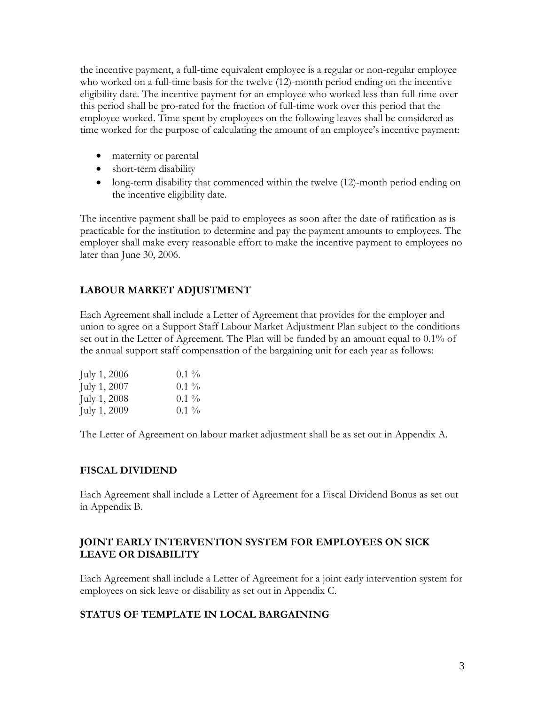the incentive payment, a full-time equivalent employee is a regular or non-regular employee who worked on a full-time basis for the twelve (12)-month period ending on the incentive eligibility date. The incentive payment for an employee who worked less than full-time over this period shall be pro-rated for the fraction of full-time work over this period that the employee worked. Time spent by employees on the following leaves shall be considered as time worked for the purpose of calculating the amount of an employee's incentive payment:

- maternity or parental
- short-term disability
- long-term disability that commenced within the twelve (12)-month period ending on the incentive eligibility date.

The incentive payment shall be paid to employees as soon after the date of ratification as is practicable for the institution to determine and pay the payment amounts to employees. The employer shall make every reasonable effort to make the incentive payment to employees no later than June 30, 2006.

# **LABOUR MARKET ADJUSTMENT**

Each Agreement shall include a Letter of Agreement that provides for the employer and union to agree on a Support Staff Labour Market Adjustment Plan subject to the conditions set out in the Letter of Agreement. The Plan will be funded by an amount equal to 0.1% of the annual support staff compensation of the bargaining unit for each year as follows:

| July $1,2006$  | $0.1\%$ |
|----------------|---------|
| July $1, 2007$ | $0.1\%$ |
| July 1, 2008   | $0.1\%$ |
| July 1, 2009   | $0.1\%$ |

The Letter of Agreement on labour market adjustment shall be as set out in Appendix A.

### **FISCAL DIVIDEND**

Each Agreement shall include a Letter of Agreement for a Fiscal Dividend Bonus as set out in Appendix B.

## **JOINT EARLY INTERVENTION SYSTEM FOR EMPLOYEES ON SICK LEAVE OR DISABILITY**

Each Agreement shall include a Letter of Agreement for a joint early intervention system for employees on sick leave or disability as set out in Appendix C.

### **STATUS OF TEMPLATE IN LOCAL BARGAINING**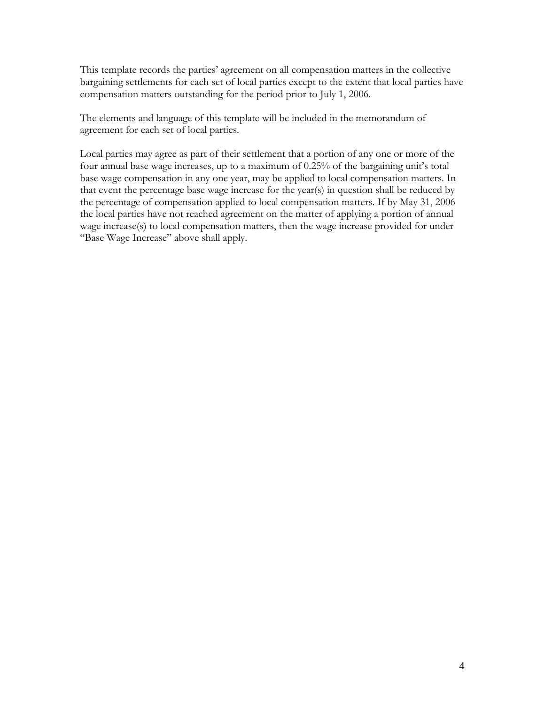This template records the parties' agreement on all compensation matters in the collective bargaining settlements for each set of local parties except to the extent that local parties have compensation matters outstanding for the period prior to July 1, 2006.

The elements and language of this template will be included in the memorandum of agreement for each set of local parties.

Local parties may agree as part of their settlement that a portion of any one or more of the four annual base wage increases, up to a maximum of 0.25% of the bargaining unit's total base wage compensation in any one year, may be applied to local compensation matters. In that event the percentage base wage increase for the year(s) in question shall be reduced by the percentage of compensation applied to local compensation matters. If by May 31, 2006 the local parties have not reached agreement on the matter of applying a portion of annual wage increase(s) to local compensation matters, then the wage increase provided for under "Base Wage Increase" above shall apply.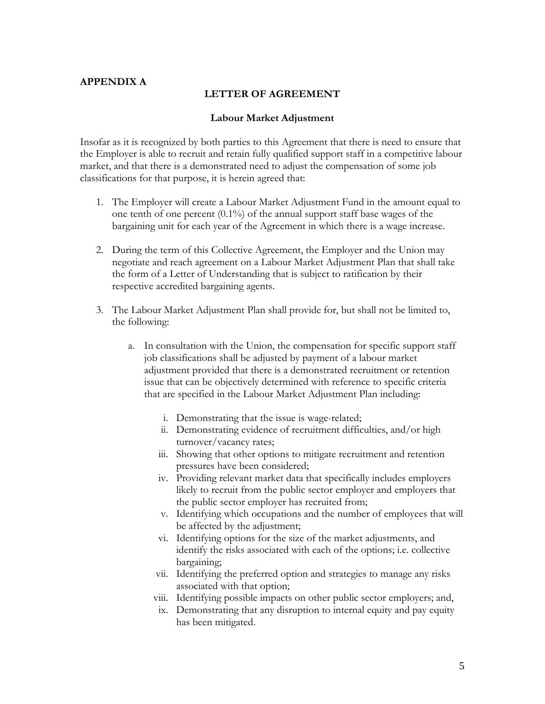## **APPENDIX A**

#### **LETTER OF AGREEMENT**

#### **Labour Market Adjustment**

Insofar as it is recognized by both parties to this Agreement that there is need to ensure that the Employer is able to recruit and retain fully qualified support staff in a competitive labour market, and that there is a demonstrated need to adjust the compensation of some job classifications for that purpose, it is herein agreed that:

- 1. The Employer will create a Labour Market Adjustment Fund in the amount equal to one tenth of one percent (0.1%) of the annual support staff base wages of the bargaining unit for each year of the Agreement in which there is a wage increase.
- 2. During the term of this Collective Agreement, the Employer and the Union may negotiate and reach agreement on a Labour Market Adjustment Plan that shall take the form of a Letter of Understanding that is subject to ratification by their respective accredited bargaining agents.
- 3. The Labour Market Adjustment Plan shall provide for, but shall not be limited to, the following:
	- a. In consultation with the Union, the compensation for specific support staff job classifications shall be adjusted by payment of a labour market adjustment provided that there is a demonstrated recruitment or retention issue that can be objectively determined with reference to specific criteria that are specified in the Labour Market Adjustment Plan including:
		- i. Demonstrating that the issue is wage-related;
		- ii. Demonstrating evidence of recruitment difficulties, and/or high turnover/vacancy rates;
		- iii. Showing that other options to mitigate recruitment and retention pressures have been considered;
		- iv. Providing relevant market data that specifically includes employers likely to recruit from the public sector employer and employers that the public sector employer has recruited from;
		- v. Identifying which occupations and the number of employees that will be affected by the adjustment;
		- vi. Identifying options for the size of the market adjustments, and identify the risks associated with each of the options; i.e. collective bargaining;
		- vii. Identifying the preferred option and strategies to manage any risks associated with that option;
		- viii. Identifying possible impacts on other public sector employers; and,
		- ix. Demonstrating that any disruption to internal equity and pay equity has been mitigated.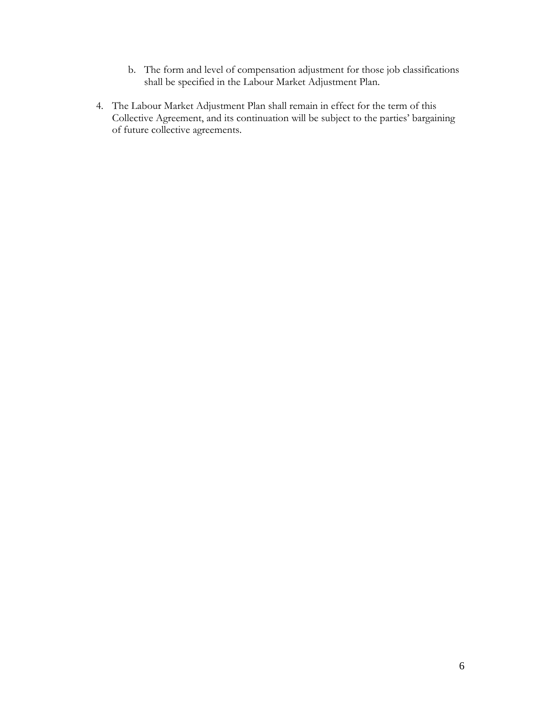- b. The form and level of compensation adjustment for those job classifications shall be specified in the Labour Market Adjustment Plan.
- 4. The Labour Market Adjustment Plan shall remain in effect for the term of this Collective Agreement, and its continuation will be subject to the parties' bargaining of future collective agreements.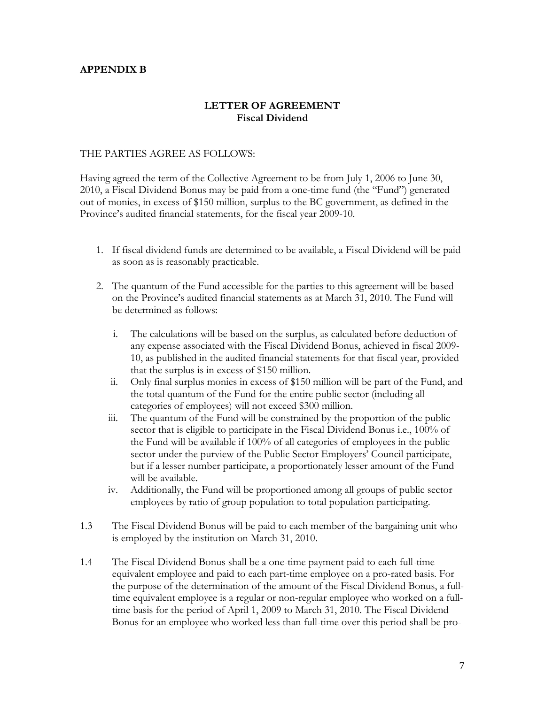## **APPENDIX B**

# **LETTER OF AGREEMENT Fiscal Dividend**

### THE PARTIES AGREE AS FOLLOWS:

Having agreed the term of the Collective Agreement to be from July 1, 2006 to June 30, 2010, a Fiscal Dividend Bonus may be paid from a one-time fund (the "Fund") generated out of monies, in excess of \$150 million, surplus to the BC government, as defined in the Province's audited financial statements, for the fiscal year 2009-10.

- 1. If fiscal dividend funds are determined to be available, a Fiscal Dividend will be paid as soon as is reasonably practicable.
- 2. The quantum of the Fund accessible for the parties to this agreement will be based on the Province's audited financial statements as at March 31, 2010. The Fund will be determined as follows:
	- i. The calculations will be based on the surplus, as calculated before deduction of any expense associated with the Fiscal Dividend Bonus, achieved in fiscal 2009- 10, as published in the audited financial statements for that fiscal year, provided that the surplus is in excess of \$150 million.
	- ii. Only final surplus monies in excess of \$150 million will be part of the Fund, and the total quantum of the Fund for the entire public sector (including all categories of employees) will not exceed \$300 million.
	- iii. The quantum of the Fund will be constrained by the proportion of the public sector that is eligible to participate in the Fiscal Dividend Bonus i.e., 100% of the Fund will be available if 100% of all categories of employees in the public sector under the purview of the Public Sector Employers' Council participate, but if a lesser number participate, a proportionately lesser amount of the Fund will be available.
	- iv. Additionally, the Fund will be proportioned among all groups of public sector employees by ratio of group population to total population participating.
- 1.3 The Fiscal Dividend Bonus will be paid to each member of the bargaining unit who is employed by the institution on March 31, 2010.
- 1.4 The Fiscal Dividend Bonus shall be a one-time payment paid to each full-time equivalent employee and paid to each part-time employee on a pro-rated basis. For the purpose of the determination of the amount of the Fiscal Dividend Bonus, a fulltime equivalent employee is a regular or non-regular employee who worked on a fulltime basis for the period of April 1, 2009 to March 31, 2010. The Fiscal Dividend Bonus for an employee who worked less than full-time over this period shall be pro-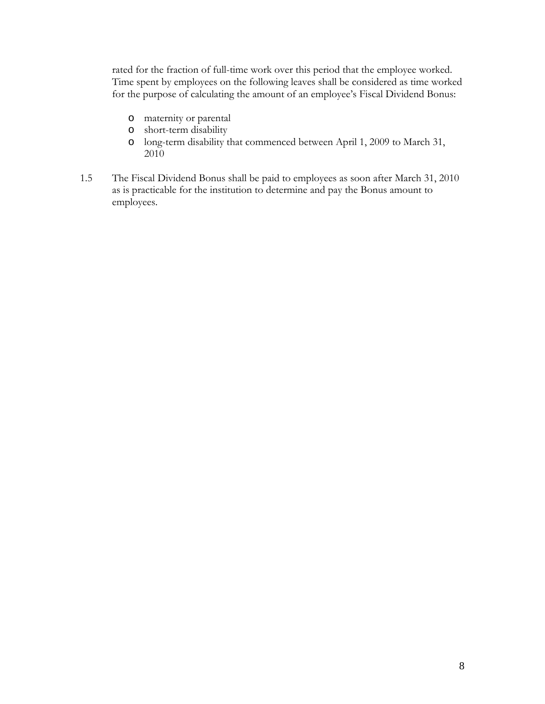rated for the fraction of full-time work over this period that the employee worked. Time spent by employees on the following leaves shall be considered as time worked for the purpose of calculating the amount of an employee's Fiscal Dividend Bonus:

- o maternity or parental
- o short-term disability
- o long-term disability that commenced between April 1, 2009 to March 31, 2010
- 1.5 The Fiscal Dividend Bonus shall be paid to employees as soon after March 31, 2010 as is practicable for the institution to determine and pay the Bonus amount to employees.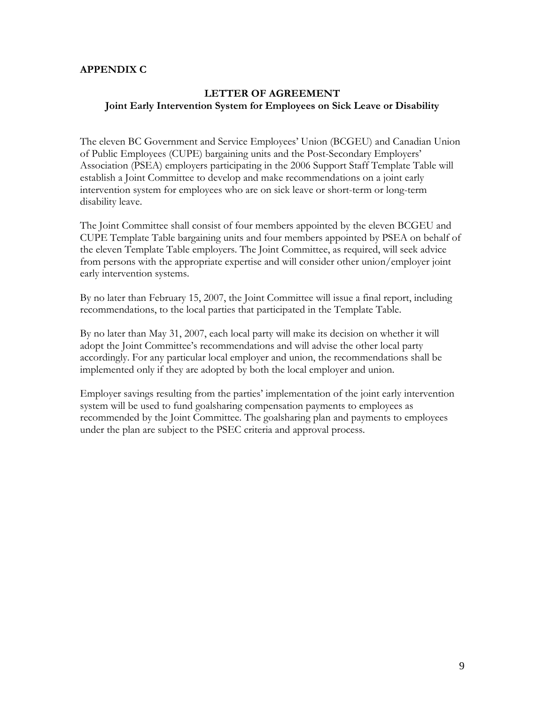### **APPENDIX C**

## **LETTER OF AGREEMENT Joint Early Intervention System for Employees on Sick Leave or Disability**

The eleven BC Government and Service Employees' Union (BCGEU) and Canadian Union of Public Employees (CUPE) bargaining units and the Post-Secondary Employers' Association (PSEA) employers participating in the 2006 Support Staff Template Table will establish a Joint Committee to develop and make recommendations on a joint early intervention system for employees who are on sick leave or short-term or long-term disability leave.

The Joint Committee shall consist of four members appointed by the eleven BCGEU and CUPE Template Table bargaining units and four members appointed by PSEA on behalf of the eleven Template Table employers. The Joint Committee, as required, will seek advice from persons with the appropriate expertise and will consider other union/employer joint early intervention systems.

By no later than February 15, 2007, the Joint Committee will issue a final report, including recommendations, to the local parties that participated in the Template Table.

By no later than May 31, 2007, each local party will make its decision on whether it will adopt the Joint Committee's recommendations and will advise the other local party accordingly. For any particular local employer and union, the recommendations shall be implemented only if they are adopted by both the local employer and union.

Employer savings resulting from the parties' implementation of the joint early intervention system will be used to fund goalsharing compensation payments to employees as recommended by the Joint Committee. The goalsharing plan and payments to employees under the plan are subject to the PSEC criteria and approval process.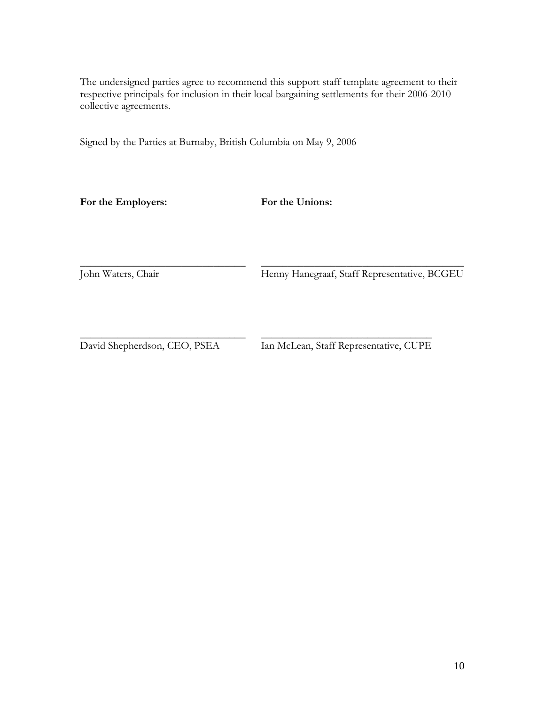The undersigned parties agree to recommend this support staff template agreement to their respective principals for inclusion in their local bargaining settlements for their 2006-2010 collective agreements.

Signed by the Parties at Burnaby, British Columbia on May 9, 2006

**For the Employers: For the Unions:** 

 $\_$ John Waters, Chair

\_\_\_\_\_\_\_\_\_\_\_\_\_\_\_\_\_\_\_\_\_\_\_\_\_\_\_\_\_\_\_\_\_\_\_\_\_\_ Henny Hanegraaf, Staff Representative, BCGEU

 $\_$ David Shepherdson, CEO, PSEA

 $\_$ Ian McLean, Staff Representative, CUPE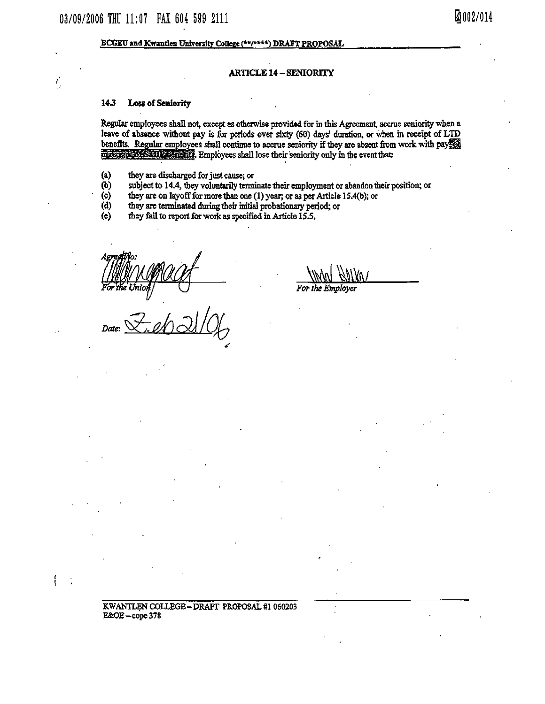#### BCGEU and Kwantlen University College (\*\*/\*\*\*\*) DRAFT PROPOSAL

#### **ARTICLE 14 – SENIORITY**

#### 14.3 Loss of Seniority

ľ,

ł

Regular employees shall not, except as otherwise provided for in this Agreement, accrue seniority when a leave of absence without pay is for periods over sixty (60) days' duration, or when in receipt of LTD benefits. Regular employees shall continue to accrue seniority if they are absent from work with pay margetin of STIR Senatics. Employees shall lose their seniority only in the event that:

- $\left( 1\right)$ they are discharged for just cause; or
- $(b)$ subject to 14.4, they voluntarily terminate their employment or abandon their position; or
- $(c)$ they are on layoff for more than one (1) year; or as per Article 15.4(b); or
- $(d)$ they are terminated during their initial probationary period; or
- they fail to report for work as specified in Article 15.5.  $(e)$

KWANTLEN COLLEGE-DRAFT PROPOSAL #1 060203  $E&OE - cope 378$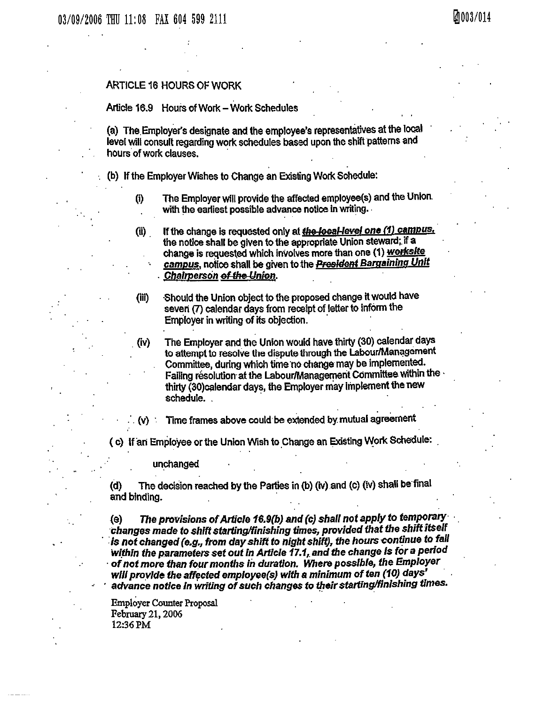#### ARTICLE 16 HOURS OF WORK

#### Article 16.9 Hours of Work - Work Schedules

(a) The Employer's designate and the employee's representatives at the local level will consult regarding work schedules based upon the shift patterns and hours of work clauses.

- (b) If the Employer Wishes to Change an Existing Work Schedule:
	- The Employer will provide the affected employee(s) and the Union.  $(i)$ with the earliest possible advance notice in writing.
	- If the change is requested only at the local-level one (1) campus. (ii) the notice shall be given to the appropriate Union steward; if a change is requested which involves more than one (1) worksite campus, notice shall be given to the **President Bargaining Unit** Chairperson of the Union.
	- Should the Union object to the proposed change it would have  $(iii)$ seven (7) calendar days from receipt of letter to inform the Employer in writing of its objection.
	- The Employer and the Union would have thirty (30) calendar days (iv) to attempt to resolve the dispute through the Labour/Management Committee, during which time no change may be implemented. Failing resolution at the Labour/Management Committee within the thirty (30) calendar days, the Employer may implement the new schedule.

Time frames above could be extended by mutual agreement  $(v)$ 

(c) If an Employee or the Union Wish to Change an Existing Work Schedule:

unchanged

The decision reached by the Parties in (b) (iv) and (c) (iv) shall be final (d) and binding.

The provisions of Article 16.9(b) and (c) shall not apply to temporary (e) changes made to shift starting/finishing times, provided that the shift itself is not changed (e.g., from day shift to night shift), the hours continue to fall within the parameters set out in Article 17.1, and the change is for a period of not more than four months in duration. Where possible, the Employer will provide the affected employee(s) with a minimum of ten (10) days' advance notice in writing of such changes to their starting/finishing times.

**Employer Counter Proposal** February 21, 2006 12:36 PM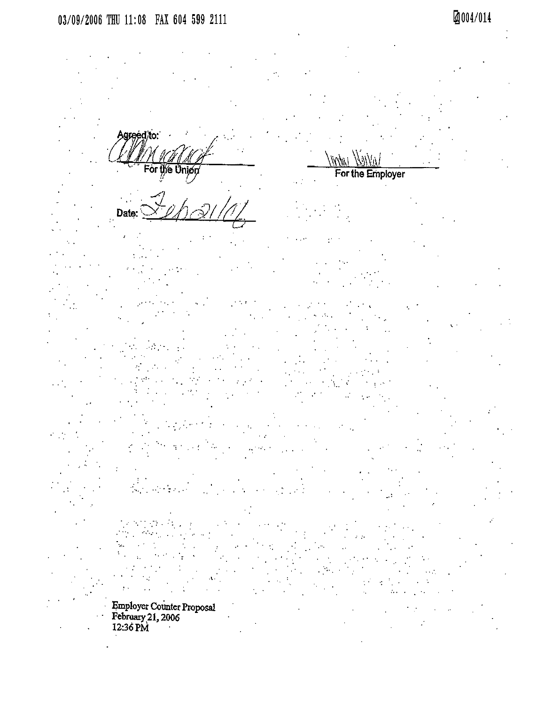Agreed/to:

ie Union ۵ı

Date:

Employer Counter Proposal<br>February 21, 2006<br>12:36 PM

i itriti For the Employer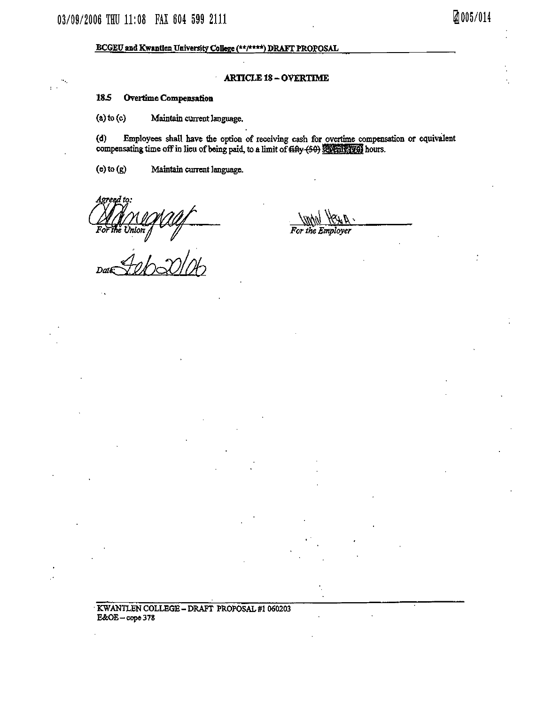#### BCGEU and Kwantlen University College (\*\*/\*\*\*\*) DRAFT PROPOSAL

#### **ARTICLE 18 - OVERTIME**

#### 18.5 Overtime Compensation

 $(a)$  to  $(c)$ Maintain current language.

Employees shall have the option of receiving cash for overtime compensation or equivalent  $(d)$ compensating time off in lieu of being paid, to a limit of  $f$  (50) severify (9) hours.

For the Emplover

 $(e)$  to  $(g)$ Maintain current language.

Acreed

Da

the Union of  $\frac{1}{2}$ 

Ø005/014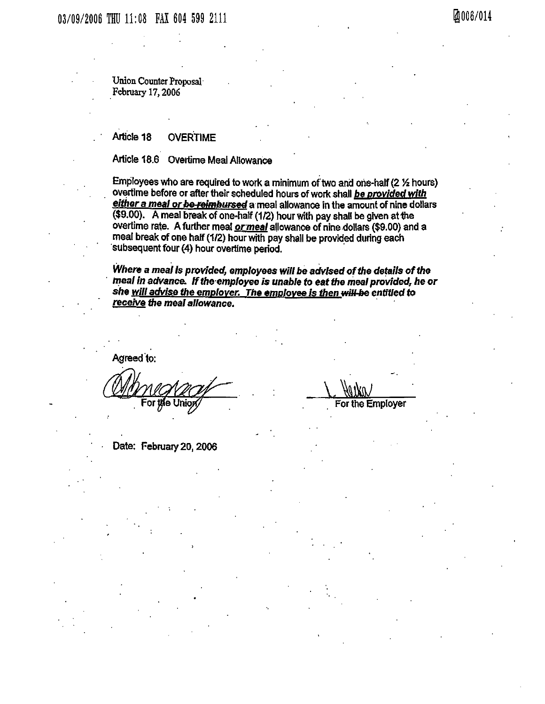Union Counter Proposal February 17, 2006

#### Article 18 **OVERTIME**

Article 18.6 Overtime Meal Allowance

Employees who are required to work a minimum of two and one-half (2 % hours) overtime before or after their scheduled hours of work shall be provided with either a meal or be reimbursed a meal allowance in the amount of nine dollars (\$9.00). A meal break of one-half (1/2) hour with pay shall be given at the overtime rate. A further meal or meal allowance of nine dollars (\$9.00) and a meal break of one half (1/2) hour with pay shall be provided during each subsequent four (4) hour overtime period.

Where a meal is provided, employees will be advised of the details of the meal in advance. If the employee is unable to eat the meal provided, he or she <u>will advise the employer. The employee is then will be</u> entitled to receive the meal allowance.

Agreed to:

For the Employer

Date: February 20, 2006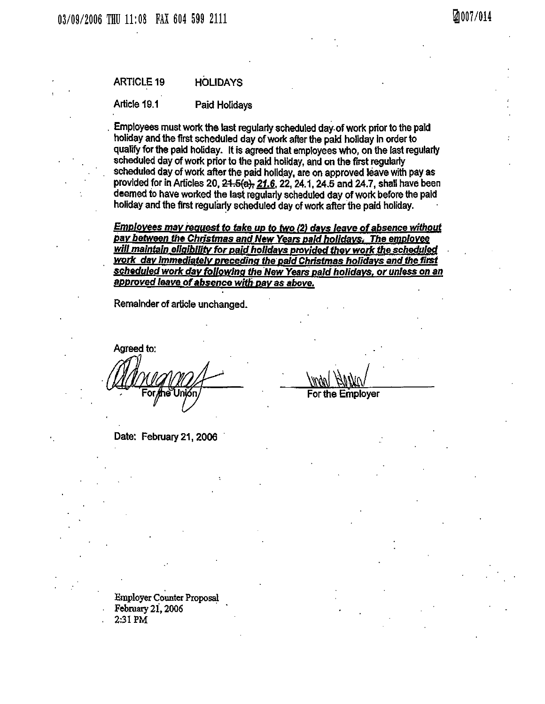Article 19.1 Paid Holidays

Employees must work the last regularly scheduled day of work prior to the paid holiday and the first scheduled day of work after the paid holiday in order to qualify for the paid holiday. It is agreed that employees who, on the last regularly scheduled day of work prior to the paid holiday, and on the first regularly scheduled day of work after the paid holiday, are on approved leave with pay as provided for in Articles 20, 21.5(a), 21.6, 22, 24.1, 24.5 and 24.7, shall have been deemed to have worked the last regularly scheduled day of work before the paid holiday and the first regularly scheduled day of work after the paid holiday.

**Employees may request to take up to two (2) days leave of absence without** pay between the Christmas and New Years paid holidays. The employee will maintain eligibility for paid holidays provided they work the scheduled work day immediately preceding the paid Christmas holidays and the first scheduled work day following the New Years paid holidays, or unless on an approved leave of absence with pay as above.

Remainder of article unchanged.

Agreed to:

Date: February 21, 2006

**Employer Counter Proposal** February 21, 2006 2:31 PM

For the Employer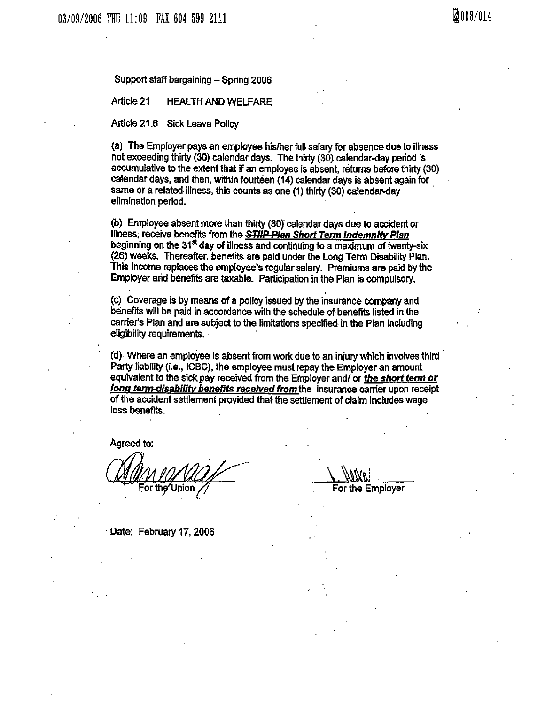Support staff bargaining - Spring 2006

Article 21 **HEALTH AND WELFARE** 

Article 21.6 Sick Leave Policy

(a) The Employer pays an employee his/her full salary for absence due to illness not exceeding thirty (30) calendar days. The thirty (30) calendar-day period is accumulative to the extent that if an employee is absent, returns before thirty (30) calendar days, and then, within fourteen (14) calendar days is absent again for same or a related illness, this counts as one (1) thirty (30) calendar-day elimination period.

(b) Employee absent more than thirty (30) calendar days due to accident or illness, receive benefits from the **STIIP Plan Short Term Indemnity Plan** beginning on the 31<sup>st</sup> day of illness and continuing to a maximum of twenty-six (26) weeks. Thereafter, benefits are paid under the Long Term Disability Plan. This income replaces the employee's regular salary. Premiums are paid by the Employer and benefits are taxable. Participation in the Plan is compulsory.

(c) Coverage is by means of a policy issued by the insurance company and benefits will be paid in accordance with the schedule of benefits listed in the carrier's Plan and are subject to the limitations specified in the Plan including eligibility requirements.

(d) Where an employee is absent from work due to an injury which involves third Party liability (i.e., ICBC), the employee must repay the Employer an amount equivalent to the sick pay received from the Employer and/ or the short term or long term-disability benefits received from the insurance carrier upon receipt of the accident settlement provided that the settlement of claim includes wage loss benefits.

Agreed to:

For the Union

Date: February 17, 2006

For the Employer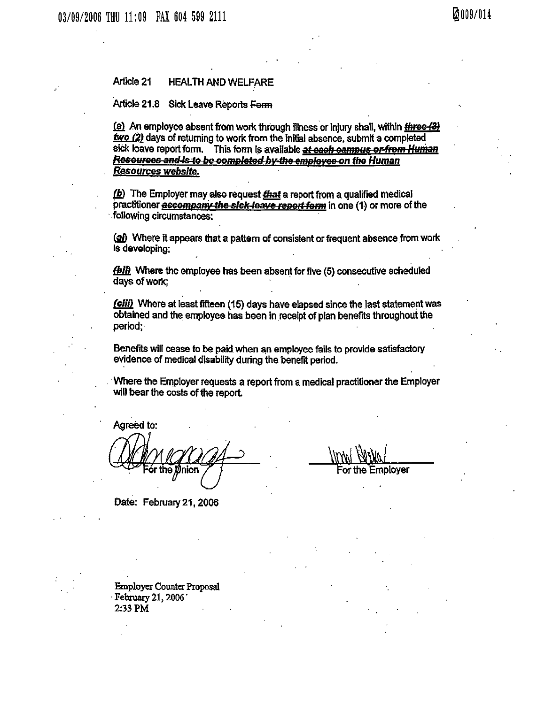#### Article 21 **HEALTH AND WELFARE**

Article 21.8 Sick Leave Reports Form

(a) An employee absent from work through illness or injury shall, within three (3) two (2) days of returning to work from the initial absence, submit a completed sick leave report form. This form is available at each campus or from Human Resources and is to be completed by the employee on the Human Resources website.

(b) The Employer may also request that a report from a qualified medical practitioner accompany the sick leave report form in one (1) or more of the following circumstances:

(a) Where it appears that a pattern of consistent or frequent absence from work is developing:

**(bil)** Where the employee has been absent for five (5) consecutive scheduled days of work;

(ciii) Where at least fifteen (15) days have elapsed since the last statement was obtained and the employee has been in receipt of plan benefits throughout the period;

Benefits will cease to be paid when an employee fails to provide satisfactory evidence of medical disability during the benefit period.

Where the Employer requests a report from a medical practitioner the Employer will bear the costs of the report.

Agreed to:

nion

or the Employer

Date: February 21, 2006

**Employer Counter Proposal** February 21, 2006 2.33 PM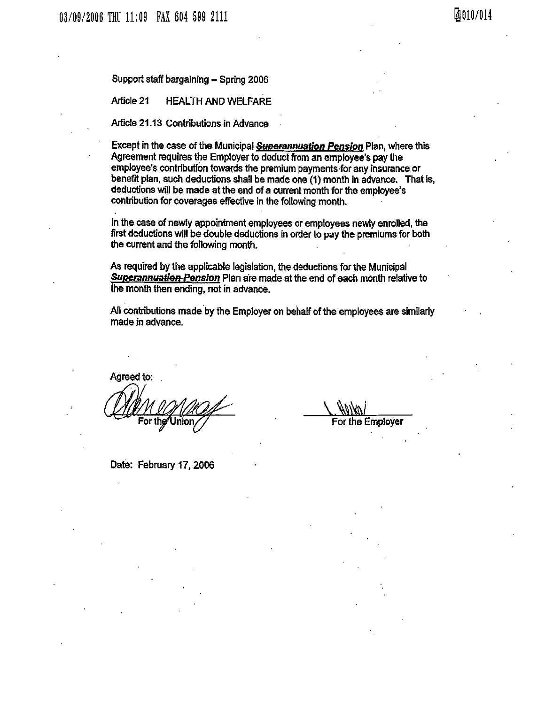Support staff bargaining - Spring 2006

Article 21 **HEALTH AND WELFARE** 

Article 21.13 Contributions in Advance

Except in the case of the Municipal Superannuation Pension Plan, where this Agreement requires the Employer to deduct from an employee's pay the employee's contribution towards the premium payments for any insurance or benefit plan, such deductions shall be made one (1) month in advance. That is, deductions will be made at the end of a current month for the employee's contribution for coverages effective in the following month.

In the case of newly appointment employees or employees newly enrolled, the first deductions will be double deductions in order to pay the premiums for both the current and the following month.

As required by the applicable legislation, the deductions for the Municipal Superannuation Pension Plan are made at the end of each month relative to the month then ending, not in advance.

All contributions made by the Employer on behalf of the employees are similarly made in advance.

Agreed to: For the∕ Unior

For the Employer

Date: February 17, 2006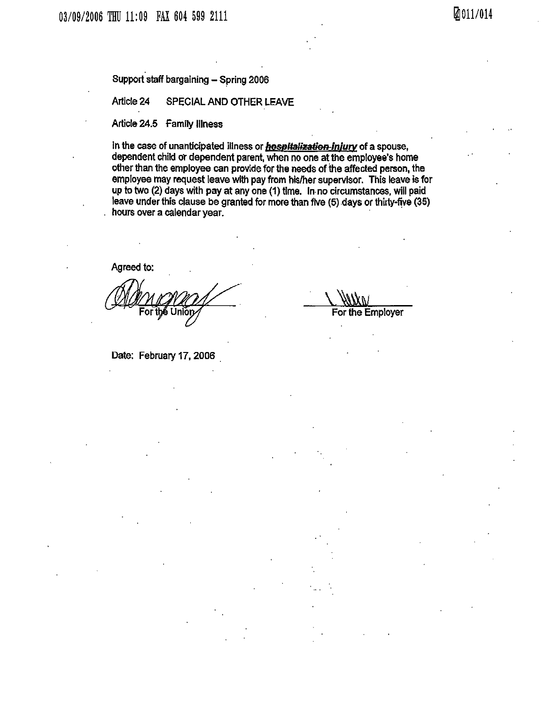Support staff bargaining - Spring 2006

#### Article 24 SPECIAL AND OTHER LEAVE

## Article 24.5 Family Illness

In the case of unanticipated illness or **hospitalization-injury** of a spouse, dependent child or dependent parent, when no one at the employee's home other than the employee can provide for the needs of the affected person, the employee may request leave with pay from his/her supervisor. This leave is for up to two (2) days with pay at any one (1) time. In no circumstances, will paid leave under this clause be granted for more than five (5) days or thirty-five (35) hours over a calendar year.

Agreed to:

Date: February 17, 2006

For the Employer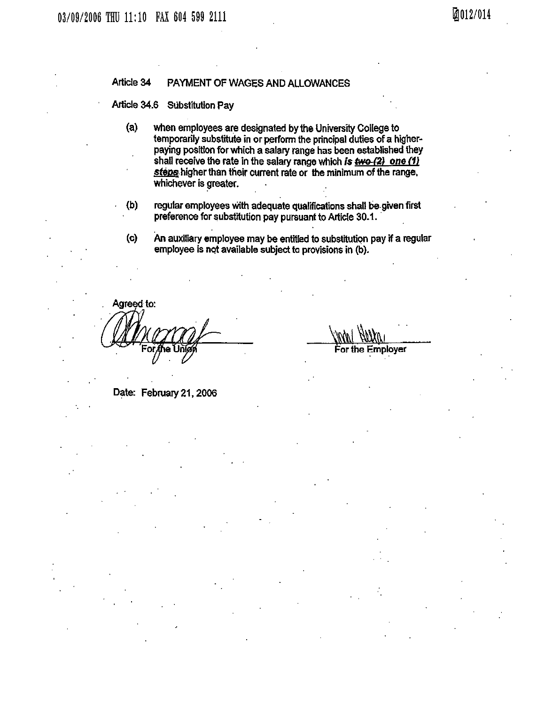#### Article 34 PAYMENT OF WAGES AND ALLOWANCES

Article 34.6 **Substitution Pay** 

- $(a)$ when employees are designated by the University College to temporarily substitute in or perform the principal duties of a higherpaying position for which a salary range has been established they shall receive the rate in the salary range which is  $\frac{4w}{2}$  one (1) steps higher than their current rate or the minimum of the range. whichever is greater.
- regular employees with adequate qualifications shall be given first  $(b)$ preference for substitution pay pursuant to Article 30.1.
- An auxiliary employee may be entitled to substitution pay if a regular  $(c)$ employee is not available subject to provisions in (b).

Agreed to:

Employer 'or the

Date: February 21, 2006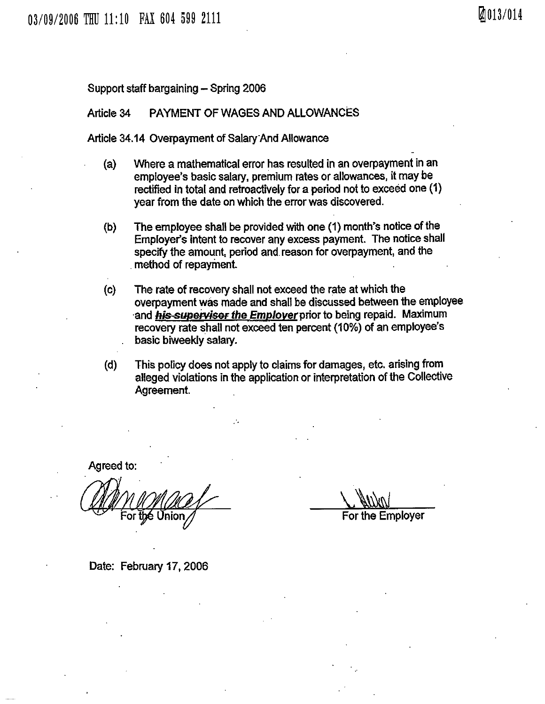Support staff bargaining - Spring 2006

#### PAYMENT OF WAGES AND ALLOWANCES Article 34

Article 34.14 Overpayment of Salary And Allowance

- Where a mathematical error has resulted in an overpayment in an  $(a)$ employee's basic salary, premium rates or allowances, it may be rectified in total and retroactively for a period not to exceed one (1) year from the date on which the error was discovered.
- $(b)$ The employee shall be provided with one (1) month's notice of the Employer's intent to recover any excess payment. The notice shall specify the amount, period and reason for overpayment, and the method of repayment.
- $\mathbf{(c)}$ The rate of recovery shall not exceed the rate at which the overpayment was made and shall be discussed between the employee and his supervisor the Employer prior to being repaid. Maximum recovery rate shall not exceed ten percent (10%) of an employee's basic biweekly salary.
- $(d)$ This policy does not apply to claims for damages, etc. arising from alleged violations in the application or interpretation of the Collective Agreement.

Agreed to:

For the Employer

Date: February 17, 2006